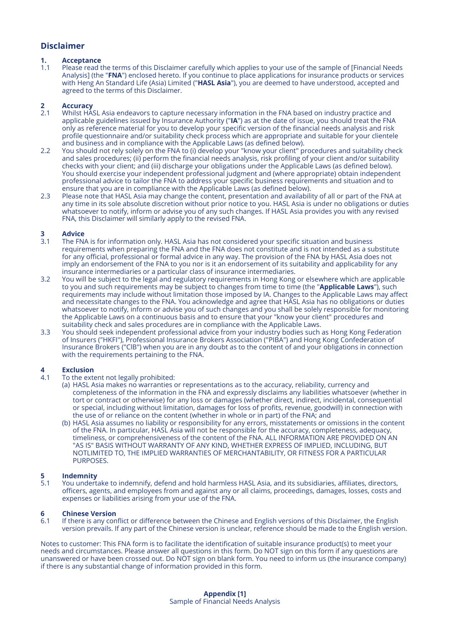## **Disclaimer**

# **1. Acceptance**

1.1 Please read the terms of this Disclaimer carefully which applies to your use of the sample of [Financial Needs Analysis] (the "**FNA**") enclosed hereto. If you continue to place applications for insurance products or services with Heng An Standard Life (Asia) Limited ("**HASL Asia**"), you are deemed to have understood, accepted and agreed to the terms of this Disclaimer.

# **2 Accuracy**

- 2.1 Whilst HASL Asia endeavors to capture necessary information in the FNA based on industry practice and applicable guidelines issued by Insurance Authority ("**IA**") as at the date of issue, you should treat the FNA only as reference material for you to develop your specific version of the financial needs analysis and risk profile questionnaire and/or suitability check process which are appropriate and suitable for your clientele and business and in compliance with the Applicable Laws (as defined below).
- 2.2 You should not rely solely on the FNA to (i) develop your "know your client" procedures and suitability check and sales procedures; (ii) perform the financial needs analysis, risk profiling of your client and/or suitability checks with your client; and (iii) discharge your obligations under the Applicable Laws (as defined below). You should exercise your independent professional judgment and (where appropriate) obtain independent professional advice to tailor the FNA to address your specific business requirements and situation and to ensure that you are in compliance with the Applicable Laws (as defined below).
- 2.3 Please note that HASL Asia may change the content, presentation and availability of all or part of the FNA at any time in its sole absolute discretion without prior notice to you. HASL Asia is under no obligations or duties whatsoever to notify, inform or advise you of any such changes. If HASL Asia provides you with any revised FNA, this Disclaimer will similarly apply to the revised FNA.

# **3 Advice**

- The FNA is for information only. HASL Asia has not considered your specific situation and business requirements when preparing the FNA and the FNA does not constitute and is not intended as a substitute for any official, professional or formal advice in any way. The provision of the FNA by HASL Asia does not imply an endorsement of the FNA to you nor is it an endorsement of its suitability and applicability for any insurance intermediaries or a particular class of insurance intermediaries.
- 3.2 You will be subject to the legal and regulatory requirements in Hong Kong or elsewhere which are applicable to you and such requirements may be subject to changes from time to time (the "**Applicable Laws**"), such requirements may include without limitation those imposed by IA. Changes to the Applicable Laws may affect and necessitate changes to the FNA. You acknowledge and agree that HASL Asia has no obligations or duties whatsoever to notify, inform or advise you of such changes and you shall be solely responsible for monitoring the Applicable Laws on a continuous basis and to ensure that your "know your client" procedures and suitability check and sales procedures are in compliance with the Applicable Laws.
- 3.3 You should seek independent professional advice from your industry bodies such as Hong Kong Federation of Insurers ("HKFI"), Professional Insurance Brokers Association ("PIBA") and Hong Kong Confederation of Insurance Brokers ("ClB") when you are in any doubt as to the content of and your obligations in connection with the requirements pertaining to the FNA.

## **4 Exclusion**

- To the extent not legally prohibited:
	- (a) HASL Asia makes no warranties or representations as to the accuracy, reliability, currency and completeness of the information in the FNA and expressly disclaims any liabilities whatsoever (whether in tort or contract or otherwise) for any loss or damages (whether direct, indirect, incidental, consequential or special, including without limitation, damages for loss of profits, revenue, goodwill) in connection with the use of or reliance on the content (whether in whole or in part) of the FNA; and
	- (b) HASL Asia assumes no liability or responsibility for any errors, misstatements or omissions in the content of the FNA. In particular, HASL Asia will not be responsible for the accuracy, completeness, adequacy, timeliness, or comprehensiveness of the content of the FNA. ALL INFORMATION ARE PROVIDED ON AN "AS IS" BASIS WITHOUT WARRANTY OF ANY KIND, WHETHER EXPRESS OF IMPLIED, INCLUDING, BUT NOTLIMITED TO, THE IMPLIED WARRANTIES OF MERCHANTABILITY, OR FITNESS FOR A PARTICULAR PURPOSES.

# **5 Indemnity**<br>5.1 You undert

You undertake to indemnify, defend and hold harmless HASL Asia, and its subsidiaries, affiliates, directors, officers, agents, and employees from and against any or all claims, proceedings, damages, losses, costs and expenses or liabilities arising from your use of the FNA.

# **6 Chinese Version**

If there is any conflict or difference between the Chinese and English versions of this Disclaimer, the English version prevails. If any part of the Chinese version is unclear, reference should be made to the English version.

Notes to customer: This FNA form is to facilitate the identification of suitable insurance product(s) to meet your needs and circumstances. Please answer all questions in this form. Do NOT sign on this form if any questions are unanswered or have been crossed out. Do NOT sign on blank form. You need to inform us (the insurance company) if there is any substantial change of information provided in this form.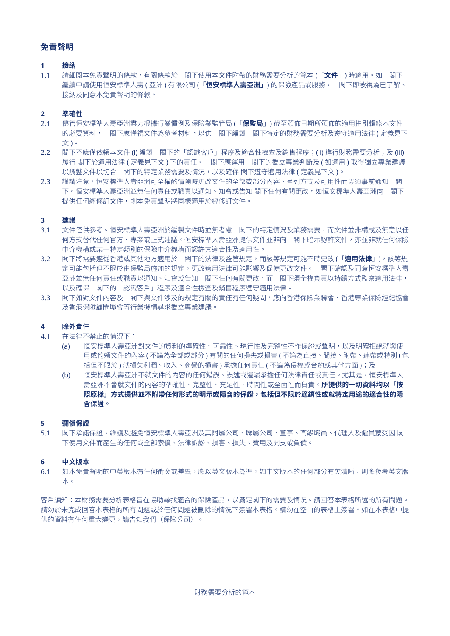## **免責聲明**

#### **1 接納**

1.1 請細閱本免責聲明的條款,有關條款於 閣下使用本文件附帶的財務需要分析的範本 (「**文件**」) 時適用。如 閣下 繼續申請使用恒安標準人壽 ( 亞洲 ) 有限公司 (**「恒安標準人壽亞洲」**) 的保險產品或服務, 閣下即被視為已了解、 接納及同意本免責聲明的條款。

#### **2 準確性**

- 2.1 儘管恒安標準人壽亞洲盡力根據行業慣例及保險業監管局 (「**保監局**」) 截至頒佈日期所頒佈的適用指引輯錄本文件 的必要資料, 閣下應僅視文件為參考材料,以供 閣下編製 閣下特定的財務需要分析及遵守適用法律 ( 定義見下 文 )。
- 2.2 閣下不應僅依賴本文件 (i) 編製 閣下的「認識客戶」程序及適合性檢查及銷售程序;(ii) 進行財務需要分析;及(iii) 履行 閣下於適用法律 ( 定義見下文 ) 下的責任。 閣下應運用 閣下的獨立專業判斷及 ( 如適用 ) 取得獨立專業建議 以調整文件以切合 閣下的特定業務需要及情況,以及確保 閣下遵守適用法律 ( 定義見下文 )。
- 2.3 謹請注意,恒安標準人壽亞洲可全權酌情隨時更改文件的全部或部分內容、呈列方式及可用性而毋須事前通知 閣 下。恒安標準人壽亞洲並無任何責任或職責以通知、知會或告知 閣下任何有關更改。如恒安標準人壽亞洲向 閣下 提供任何經修訂文件,則本免責聲明將同樣適用於經修訂文件。

#### **3 建議**

- 3.1 文件僅供參考。恒安標準人壽亞洲於編製文件時並無考慮 閣下的特定情況及業務需要,而文件並非構成及無意以任 何方式替代任何官方、專業或正式建議。恒安標準人壽亞洲提供文件並非向 閣下暗示認許文件,亦並非就任何保險 中介機構或某一特定類別的保險中介機構而認許其適合性及適用性。
- 3.2 閣下將需要遵從香港或其他地方適用於 閣下的法律及監管規定,而該等規定可能不時更改 (「**適用法律**」),該等規 定可能包括但不限於由保監局施加的規定。更改適用法律可能影響及促使更改文件。 閣下確認及同意恒安標準人壽 亞洲並無任何責任或職責以通知、知會或告知 閣下任何有關更改,而 閣下須全權負責以持續方式監察適用法律, 以及確保 閣下的「認識客戶」程序及適合性檢查及銷售程序遵守適用法律。
- 3.3 閣下如對文件內容及 閣下與文件涉及的規定有關的責任有任何疑問,應向香港保險業聯會、香港專業保險經紀協會 及香港保險顧問聯會等行業機構尋求獨立專業建議。

#### **4 除外責任**

- 4.1 在法律不禁止的情況下:
	- (a) 恒安標準人壽亞洲對文件的資料的準確性、可靠性、現行性及完整性不作保證或聲明,以及明確拒絕就與使 用或倚賴文件的內容 ( 不論為全部或部分 ) 有關的任何損失或損害 ( 不論為直接、間接、附帶、連帶或特別 ( 包 括但不限於 ) 就損失利潤、收入、商譽的損害 ) 承擔任何責任 ( 不論為侵權或合約或其他方面 );及
	- (b) 恒安標準人壽亞洲不就文件的內容的任何錯誤、誤述或遺漏承擔任何法律責任或責任。尤其是,恒安標準人 壽亞洲不會就文件的內容的準確性、完整性、充足性、時間性或全面性而負責。**所提供的一切資料均以「按** 照原樣」方式提供並不附帶任何形式的明示或隱含的保證,包括但不限於適銷性或就特定用途的適合性的隱 **含保證。**

#### **5 彌償保證**

5.1 閣下承諾保證、維護及避免恒安標準人壽亞洲及其附屬公司、聯屬公司、董事、高級職員、代理人及僱員蒙受因 閣 下使用文件而產生的任何或全部索償、法律訴訟、損害、損失、費用及開支或負債。

#### **6 中文版本**

6.1 如本免責聲明的中英版本有任何衝突或差異,應以英文版本為準。如中文版本的任何部分有欠清晰,則應參考英文版 本。

客戶須知:本財務需要分析表格旨在協助尋找適合的保險產品,以滿足閣下的需要及情況。請回答本表格所述的所有問題。 請勿於未完成回答本表格的所有問題或於任何問題被刪除的情況下簽署本表格。請勿在空白的表格上簽署。如在本表格中提 供的資料有任何重大變更,請告知我們(保險公司)。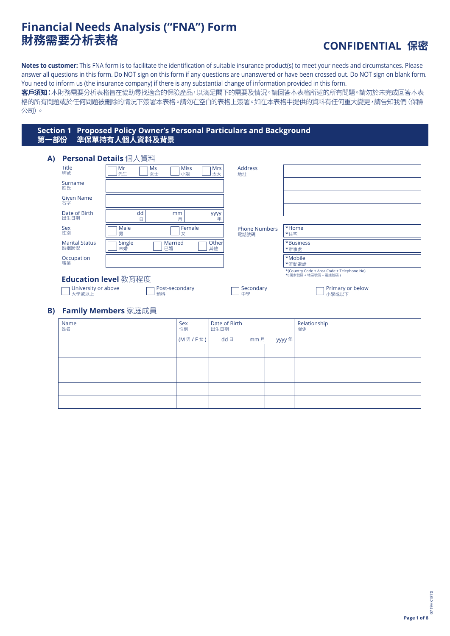# **Financial Needs Analysis ("FNA") Form**

# **財務需要分析表格 CONFIDENTIAL 保密**

小學或以下

**Notes to customer:** This FNA form is to facilitate the identification of suitable insurance product(s) to meet your needs and circumstances. Please answer all questions in this form. Do NOT sign on this form if any questions are unanswered or have been crossed out. Do NOT sign on blank form. You need to inform us (the insurance company) if there is any substantial change of information provided in this form.

**客戶須知:**本財務需要分析表格旨在協助尋找適合的保險產品,以滿足閣下的需要及情況。請回答本表格所述的所有問題。請勿於未完成回答本表 格的所有問題或於任何問題被刪除的情況下簽署本表格。請勿在空白的表格上簽署。如在本表格中提供的資料有任何重大變更,請告知我們(保險 公司)。

## **Section 1 Proposed Policy Owner's Personal Particulars and Background 第一部份 準保單持有人個人資料及背景**

預科

| A) | Personal Details 個人資料         |              |                               |                  |                              |                                                                     |
|----|-------------------------------|--------------|-------------------------------|------------------|------------------------------|---------------------------------------------------------------------|
|    | <b>Title</b><br>稱號            | Mr<br>先生     | Ms<br><b>Miss</b><br>女士<br>小姐 | <b>Mrs</b><br>太太 | Address<br>地址                |                                                                     |
|    | Surname<br>姓氏                 |              |                               |                  |                              |                                                                     |
|    | <b>Given Name</b><br>名字       |              |                               |                  |                              |                                                                     |
|    | Date of Birth                 | dd           | mm                            |                  |                              |                                                                     |
|    | 出生日期                          | E            | 月                             | yyyy<br>年        |                              |                                                                     |
|    | <b>Sex</b><br>性別              | Male<br>男    | Female<br>女                   |                  | <b>Phone Numbers</b><br>電話號碼 | *Home<br>*住宅                                                        |
|    | <b>Marital Status</b><br>婚姻狀況 | Single<br>未婚 | Married<br>已婚                 | Other<br>其他      |                              | *Business<br>*辦事處                                                   |
|    | Occupation<br>職業              |              |                               |                  |                              | *Mobile<br>*流動電話                                                    |
|    | <b>Education level</b> 教育程度   |              |                               |                  |                              | *(Country Code + Area Code + Telephone No)<br>*(國家號碼 + 地區號碼 + 電話號碼) |
|    | University or above           |              | Post-secondary                |                  | Secondary                    | Primary or below                                                    |

## **B) Family Members** 家庭成員

大學或以上

| Name<br>姓名 | Sex<br>性別           | Date of Birth<br>出生日期 |           |        | Relationship<br>關係 |
|------------|---------------------|-----------------------|-----------|--------|--------------------|
|            | $(M   7 F \times )$ |                       | dd 日 mm 月 | yyyy 年 |                    |
|            |                     |                       |           |        |                    |
|            |                     |                       |           |        |                    |
|            |                     |                       |           |        |                    |
|            |                     |                       |           |        |                    |
|            |                     |                       |           |        |                    |

中學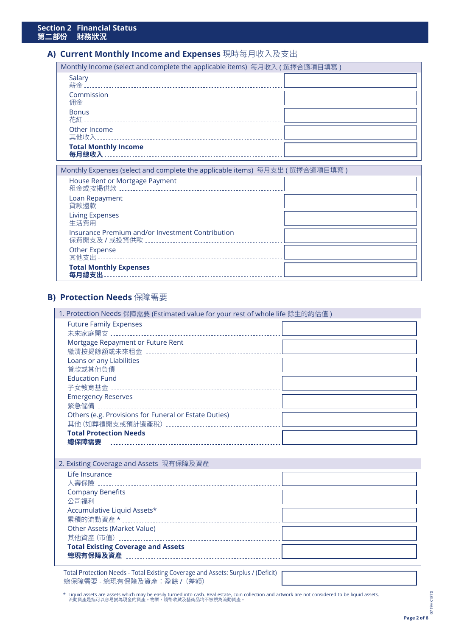## **A) Current Monthly Income and Expenses** 現時每月收入及支出

| Monthly Income (select and complete the applicable items) 每月收入 ( 選擇合適項目填寫 ) |  |  |  |  |
|-----------------------------------------------------------------------------|--|--|--|--|
| Salary                                                                      |  |  |  |  |
| Commission                                                                  |  |  |  |  |
| <b>Bonus</b>                                                                |  |  |  |  |
| Other Income<br>其他收入…………………………………………………………                                  |  |  |  |  |
| <b>Total Monthly Income</b><br>每月總收入                                        |  |  |  |  |

| Monthly Expenses (select and complete the applicable items) 每月支出 ( 選擇合適項目填寫 ) |  |
|-------------------------------------------------------------------------------|--|
| House Rent or Mortgage Payment                                                |  |
| Loan Repayment                                                                |  |
| <b>Living Expenses</b>                                                        |  |
| Insurance Premium and/or Investment Contribution                              |  |
| Other Expense                                                                 |  |
| <b>Total Monthly Expenses</b><br>每月總支出                                        |  |

## **B) Protection Needs** 保障需要

| 1. Protection Needs 保障需要 (Estimated value for your rest of whole life 餘生的約估值)             |  |
|-------------------------------------------------------------------------------------------|--|
| <b>Future Family Expenses</b>                                                             |  |
|                                                                                           |  |
| Mortgage Repayment or Future Rent                                                         |  |
|                                                                                           |  |
| Loans or any Liabilities                                                                  |  |
|                                                                                           |  |
| <b>Education Fund</b>                                                                     |  |
|                                                                                           |  |
| <b>Emergency Reserves</b>                                                                 |  |
| Others (e.g. Provisions for Funeral or Estate Duties)                                     |  |
|                                                                                           |  |
| <b>Total Protection Needs</b>                                                             |  |
|                                                                                           |  |
|                                                                                           |  |
| 2. Existing Coverage and Assets 現有保障及資產                                                   |  |
| Life Insurance                                                                            |  |
|                                                                                           |  |
| <b>Company Benefits</b>                                                                   |  |
|                                                                                           |  |
| Accumulative Liquid Assets*                                                               |  |
|                                                                                           |  |
| Other Assets (Market Value)                                                               |  |
|                                                                                           |  |
| <b>Total Existing Coverage and Assets</b>                                                 |  |
|                                                                                           |  |
| Total Protection Needs - Total Existing Coverage and Assets: Surplus / (Deficit) $\Gamma$ |  |

總保障需要 - 總現有保障及資產:盈餘 /(差額)

\* Liquid assets are assets which may be easily turned into cash. Real estate, coin collection and artwork are not considered to be liquid assets.<br>流動資產是指可以容易變為現金的資產。物業,錢幣收藏及藝術品均不被視為流動資產。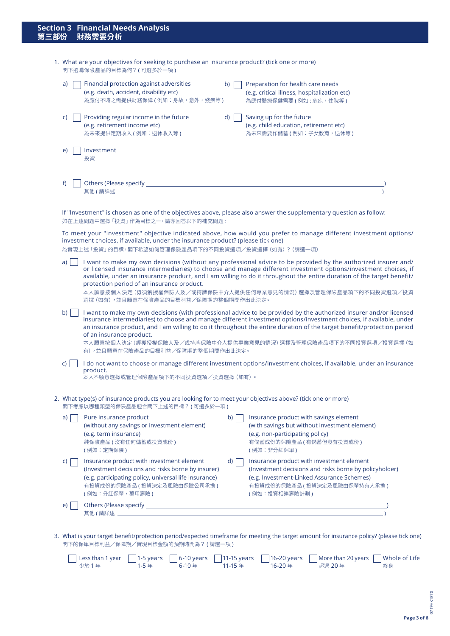| <b>Section 3 Financial Needs Analysis</b><br>第三部份 財務需要分析                                                               |
|------------------------------------------------------------------------------------------------------------------------|
| 1. What are your objectives for seeking to purchase an insurance product? (tick one or more)<br>閣下選購保險產品的目標為何?(可選多於一項) |

a) **Financial protection against adversities** 

|                  | (e.g. death, accident, disability etc)<br>為應付不時之需提供財務保障 ( 例如:身故,意外,殘疾等 )                                                                                                                                   |    | (e.g. critical illness, hospitalization etc)<br>為應付醫療保健需要 ( 例如 : 危疾,住院等 )                                                                                                                                                                                                                                                                                                                                                                |
|------------------|------------------------------------------------------------------------------------------------------------------------------------------------------------------------------------------------------------|----|------------------------------------------------------------------------------------------------------------------------------------------------------------------------------------------------------------------------------------------------------------------------------------------------------------------------------------------------------------------------------------------------------------------------------------------|
| C)               | Providing regular income in the future<br>(e.g. retirement income etc)<br>為未來提供定期收入 (例如:退休收入等)                                                                                                             | d) | Saving up for the future<br>(e.g. child education, retirement etc)<br>為未來需要作儲蓄 (例如:子女教育,退休等)                                                                                                                                                                                                                                                                                                                                             |
| e)               | Investment<br>投資                                                                                                                                                                                           |    |                                                                                                                                                                                                                                                                                                                                                                                                                                          |
| f)               | 其他(請詳述) しょうしょう しょうしょう しょうしょう しょうしょく                                                                                                                                                                        |    |                                                                                                                                                                                                                                                                                                                                                                                                                                          |
|                  | If "Investment" is chosen as one of the objectives above, please also answer the supplementary question as follow:<br>如在上述問題中選擇「投資」作為目標之一,請亦回答以下的補充問題:                                                     |    |                                                                                                                                                                                                                                                                                                                                                                                                                                          |
|                  | investment choices, if available, under the insurance product? (please tick one)<br>為實現上述「投資」的目標,閣下希望如何管理保險產品項下的不同投資選項/投資選擇 (如有) ? (請選一項)                                                                  |    | To meet your "Investment" objective indicated above, how would you prefer to manage different investment options/                                                                                                                                                                                                                                                                                                                        |
| a)               | protection period of an insurance product.<br>選擇 (如有),並且願意在保險產品的目標利益/保障期的整個期間作出此決定。                                                                                                                        |    | I want to make my own decisions (without any professional advice to be provided by the authorized insurer and/<br>or licensed insurance intermediaries) to choose and manage different investment options/investment choices, if<br>available, under an insurance product, and I am willing to do it throughout the entire duration of the target benefit/<br>本人願意按個人決定 (毋須獲授權保險人及/或持牌保險中介人提供任何專業意見的情況) 選擇及管理保險產品項下的不同投資選項/投資            |
| b) $\vert \vert$ | of an insurance product.<br>有),並且願意在保險產品的目標利益/保障期的整個期間作出此決定。                                                                                                                                               |    | I want to make my own decisions (with professional advice to be provided by the authorized insurer and/or licensed<br>insurance intermediaries) to choose and manage different investment options/investment choices, if available, under<br>an insurance product, and I am willing to do it throughout the entire duration of the target benefit/protection period<br>本人願意按個人決定 (經獲授權保險人及/或持牌保險中介人提供專業意見的情況) 選擇及管理保險產品項下的不同投資選項/投資選擇 (如 |
| C)               | product.<br>本人不願意選擇或管理保險產品項下的不同投資選項/投資選擇(如有)。                                                                                                                                                              |    | I do not want to choose or manage different investment options/investment choices, if available, under an insurance                                                                                                                                                                                                                                                                                                                      |
|                  | 2. What type(s) of insurance products you are looking for to meet your objectives above? (tick one or more)<br>閣下考慮以哪種類型的保險產品抑合閣下上述的目標?(可選多於一項)                                                            |    |                                                                                                                                                                                                                                                                                                                                                                                                                                          |
| a)               | Pure insurance product<br>(without any savings or investment element)<br>(e.g. term insurance)<br>純保險產品 (沒有任何儲蓄或投資成份)<br>(例如:定期保險)                                                                         | b) | Insurance product with savings element<br>(with savings but without investment element)<br>(e.g. non-participating policy)<br>有儲蓄成份的保險產品 (有儲蓄但沒有投資成份)<br>(例如:非分紅保單)                                                                                                                                                                                                                                                                      |
| C)               | Insurance product with investment element<br>(Investment decisions and risks borne by insurer)<br>(e.g. participating policy, universal life insurance)<br>有投資成份的保險產品 ( 投資決定及風險由保險公司承擔 )<br>(例如:分紅保單,萬用壽險) | d) | Insurance product with investment element<br>(Investment decisions and risks borne by policyholder)<br>(e.g. Investment-Linked Assurance Schemes)<br>有投資成份的保險產品(投資決定及風險由保單持有人承擔)<br>(例如:投資相連壽險計劃)                                                                                                                                                                                                                                        |

b) Preparation for health care needs

3. What is your target benefit/protection period/expected timeframe for meeting the target amount for insurance policy? (please tick one) 閣下的保單目標利益/保障期/實現目標金額的預期時間為? ( 請選一項 )

まんています。<br>また、およびのサイトをしているようになっているようになっているようになっているようになっているようになっているようになっているようになっているようになっているようになっているようになっているようになっているようになってい

e)  $\Box$  Others (Please specify  $\Box$ 

|  |  | Less than 1 year 1-5 years 6-10 years 11-15 years 16-20 years More than 20 years Whole of Life |  |
|--|--|------------------------------------------------------------------------------------------------|--|
|  |  |                                                                                                |  |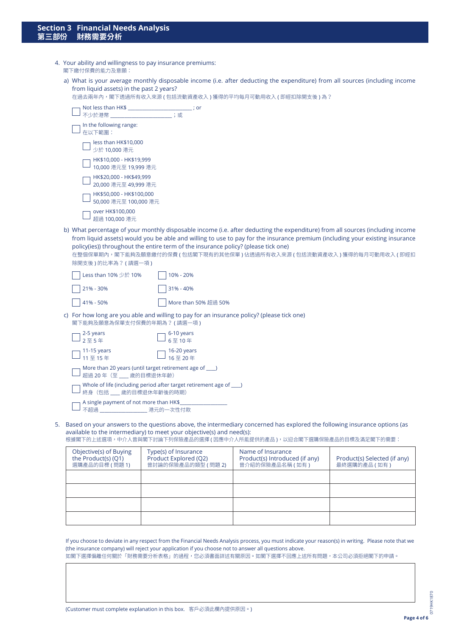- 4. Your ability and willingness to pay insurance premiums: 閣下繳付保費的能力及意願:
	- a) What is your average monthly disposable income (i.e. after deducting the expenditure) from all sources (including income from liquid assets) in the past 2 years? 在過去兩年內,閣下透過所有收入來源 ( 包括流動資產收入 ) 獲得的平均每月可動用收入 ( 即經扣除開支後 ) 為 ?

| Not less than HK\$ ___________________________; or<br>"我们的话,你们就会不会。""我们的话,我们就会不会。""我们的话,我们就会不会。""我们的话,我们就会不会。""我们的话,我们就会不会。""我们的话,我们就会<br>不少於港幣 |                                                                                                                                                                                                                                                                                                                                                                                                                                    |
|-------------------------------------------------------------------------------------------------------------------------------------------------|------------------------------------------------------------------------------------------------------------------------------------------------------------------------------------------------------------------------------------------------------------------------------------------------------------------------------------------------------------------------------------------------------------------------------------|
| In the following range:<br>在以下範圍:                                                                                                               |                                                                                                                                                                                                                                                                                                                                                                                                                                    |
| less than HK\$10,000<br>少於 10,000 港元                                                                                                            |                                                                                                                                                                                                                                                                                                                                                                                                                                    |
| HK\$10,000 - HK\$19,999<br>10,000 港元至 19,999 港元                                                                                                 |                                                                                                                                                                                                                                                                                                                                                                                                                                    |
| HK\$20,000 - HK\$49,999<br>20,000 港元至 49,999 港元                                                                                                 |                                                                                                                                                                                                                                                                                                                                                                                                                                    |
| HK\$50,000 - HK\$100,000<br>50,000 港元至 100,000 港元                                                                                               |                                                                                                                                                                                                                                                                                                                                                                                                                                    |
| over HK\$100,000<br>超過 100,000 港元                                                                                                               |                                                                                                                                                                                                                                                                                                                                                                                                                                    |
| 除開支後)的比率為?(請選一項)                                                                                                                                | b) What percentage of your monthly disposable income (i.e. after deducting the expenditure) from all sources (including income<br>from liquid assets) would you be able and willing to use to pay for the insurance premium (including your existing insurance<br>policy(ies)) throughout the entire term of the insurance policy? (please tick one)<br>在整個保單期內,閣下能夠及願意繳付的保費 (包括閣下現有的其他保單) 佔透過所有收入來源 ( 包括流動資產收入 ) 獲得的每月可動用收入 ( 即經扣 |
| Less than 10% 少於 10%                                                                                                                            | 10% - 20%                                                                                                                                                                                                                                                                                                                                                                                                                          |
| 21% - 30%                                                                                                                                       | 31% - 40%                                                                                                                                                                                                                                                                                                                                                                                                                          |
| 41% - 50%                                                                                                                                       | More than 50% 超過 50%                                                                                                                                                                                                                                                                                                                                                                                                               |
| 閣下能夠及願意為保單支付保費的年期為?(請選一項)                                                                                                                       | c) For how long are you able and willing to pay for an insurance policy? (please tick one)                                                                                                                                                                                                                                                                                                                                         |
| 2-5 years<br>2至5年                                                                                                                               | 6-10 years<br>6至10年                                                                                                                                                                                                                                                                                                                                                                                                                |
| 11-15 years<br>11 至 15 年                                                                                                                        | 16-20 years<br>16至20年                                                                                                                                                                                                                                                                                                                                                                                                              |
| More than 20 years (until target retirement age of ____)<br>超過 20年 (至 歲的目標退休年齡)                                                                 |                                                                                                                                                                                                                                                                                                                                                                                                                                    |
| 終身 (包括___ 歲的目標退休年齡後的時期)                                                                                                                         | Whole of life (including period after target retirement age of ____)                                                                                                                                                                                                                                                                                                                                                               |
| A single payment of not more than HK\$<br>不超過                                                                                                   |                                                                                                                                                                                                                                                                                                                                                                                                                                    |

5. Based on your answers to the questions above, the intermediary concerned has explored the following insurance options (as available to the intermediary) to meet your objective(s) and need(s):

根據閣下的上述選項,中介人曾與閣下討論下列保險產品的選擇 ( 因應中介人所能提供的產品 ),以迎合閣下選購保險產品的目標及滿足閣下的需要:

| Objective(s) of Buying<br>the Product(s) (Q1)<br>選購產品的目標 (問題1) | Type(s) of Insurance<br>Product Explored (Q2)<br>曾討論的保險產品的類型 (問題2) | Name of Insurance<br>Product(s) Introduced (if any)<br>曾介紹的保險產品名稱(如有) | Product(s) Selected (if any)<br>最終選購的產品(如有) |
|----------------------------------------------------------------|--------------------------------------------------------------------|-----------------------------------------------------------------------|---------------------------------------------|
|                                                                |                                                                    |                                                                       |                                             |
|                                                                |                                                                    |                                                                       |                                             |
|                                                                |                                                                    |                                                                       |                                             |
|                                                                |                                                                    |                                                                       |                                             |

If you choose to deviate in any respect from the Financial Needs Analysis process, you must indicate your reason(s) in writing. Please note that we (the insurance company) will reject your application if you choose not to answer all questions above.

如閣下選擇偏離任何關於「財務需要分析表格」的過程,您必須書面詳述有關原因。如閣下選擇不回應上述所有問題,本公司必須拒絕閣下的申請。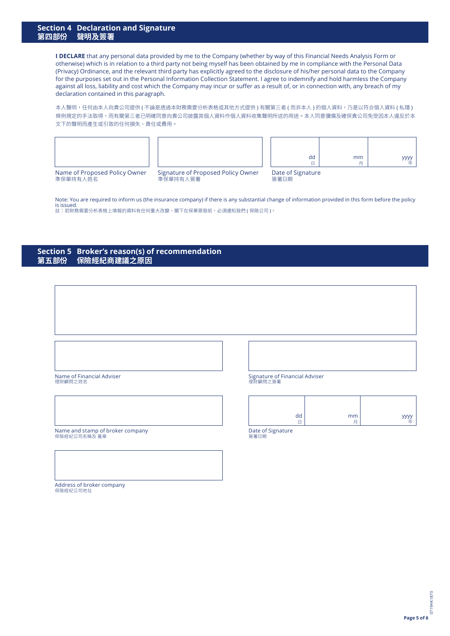#### **Section 4 Declaration and Signature 第四部份 聲明及簽署**

**I DECLARE** that any personal data provided by me to the Company (whether by way of this Financial Needs Analysis Form or otherwise) which is in relation to a third party not being myself has been obtained by me in compliance with the Personal Data (Privacy) Ordinance, and the relevant third party has explicitly agreed to the disclosure of his/her personal data to the Company for the purposes set out in the Personal Information Collection Statement. I agree to indemnify and hold harmless the Company against all loss, liability and cost which the Company may incur or suffer as a result of, or in connection with, any breach of my declaration contained in this paragraph.

本人聲明,任何由本人向貴公司提供 ( 不論是透過本財務需要分析表格或其他方式提供 ) 有關第三者 ( 而非本人 ) 的個人資料,乃是以符合個人資料 ( 私隱 ) 條例規定的手法取得,而有關第三者已明確同意向貴公司披露其個人資料作個人資料收集聲明所述的用途。本人同意彌償及確保貴公司免受因本人違反於本 文下的聲明而產生或引致的任何損失、責任或費用。



Signature of Proposed Policy Owner 準保單持有人簽署

Date of Signature

| dd                        | mm |  |
|---------------------------|----|--|
| Date of Signature<br>簽署日期 |    |  |

Note: You are required to inform us (the insurance company) if there is any substantial change of information provided in this form before the policy is issued.<br>註:若財務需要分析表格上填報的資料有任何重大改變,閣下在保單簽發前,必須通知我們 ( 保險公司 )。

#### **Section 5 Broker's reason(s) of recommendation 第五部份 保險經紀商建議之原因**

Name of Financial Adviser 理財顧問之姓名

Name and stamp of broker company 保險經紀公司名稱及 蓋章

Signature of Financial Adviser 理財顧問之簽署

|              |                                 | $\sqrt{2}$ |
|--------------|---------------------------------|------------|
| dd<br>-<br>− | mm<br>$\blacksquare$<br>⋍<br>J. | رددد<br>年  |

Date of Signature 簽署日期

Address of broker company 保險經紀公司地址